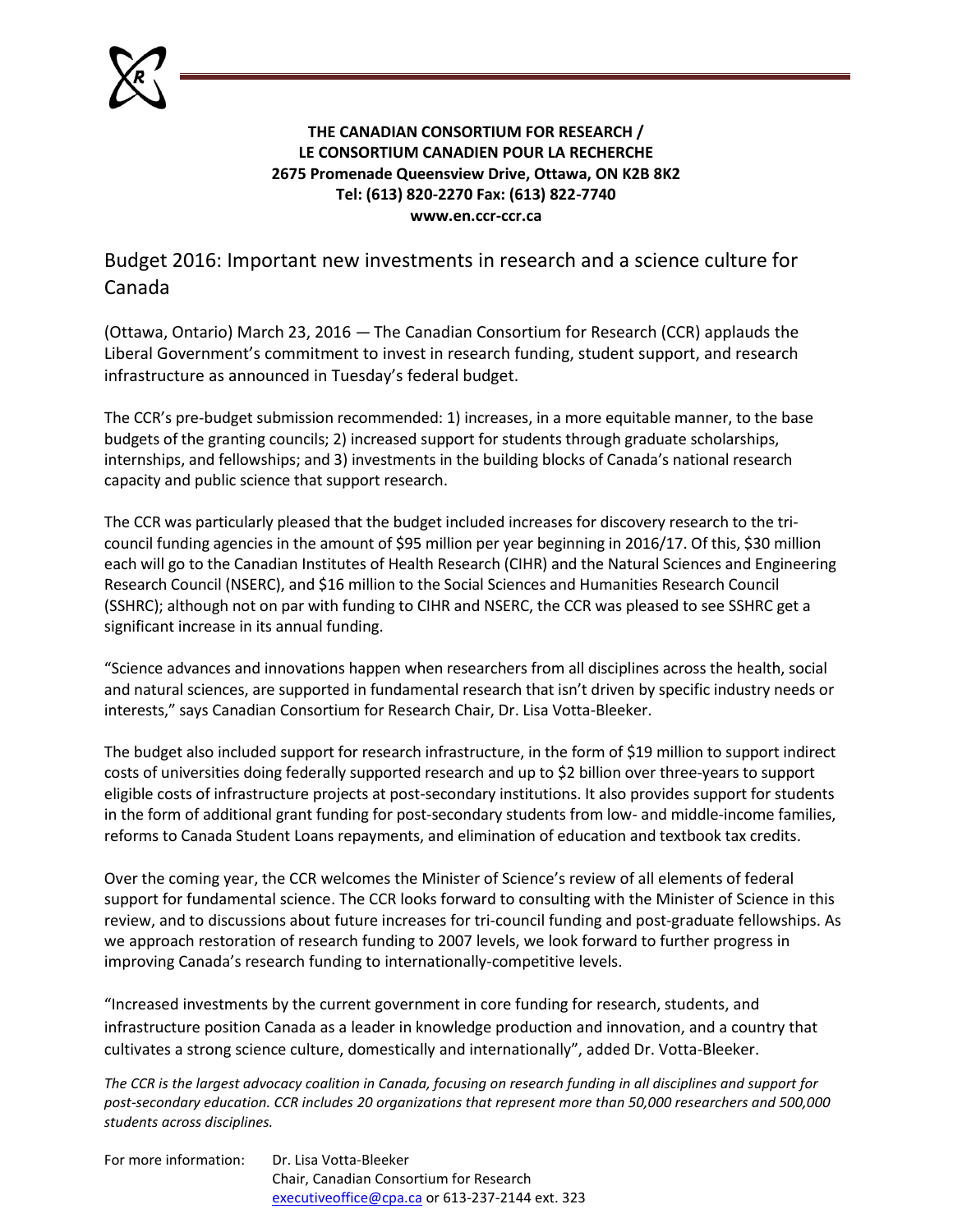

## **THE CANADIAN CONSORTIUM FOR RESEARCH / LE CONSORTIUM CANADIEN POUR LA RECHERCHE 2675 Promenade Queensview Drive, Ottawa, ON K2B 8K2 Tel: (613) 820-2270 Fax: (613) 822-7740 www.en.ccr-ccr.ca**

Budget 2016: Important new investments in research and a science culture for Canada

(Ottawa, Ontario) March 23, 2016 — The Canadian Consortium for Research (CCR) applauds the Liberal Government's commitment to invest in research funding, student support, and research infrastructure as announced in Tuesday's federal budget.

The CCR's pre-budget submission recommended: 1) increases, in a more equitable manner, to the base budgets of the granting councils; 2) increased support for students through graduate scholarships, internships, and fellowships; and 3) investments in the building blocks of Canada's national research capacity and public science that support research.

The CCR was particularly pleased that the budget included increases for discovery research to the tricouncil funding agencies in the amount of \$95 million per year beginning in 2016/17. Of this, \$30 million each will go to the Canadian Institutes of Health Research (CIHR) and the Natural Sciences and Engineering Research Council (NSERC), and \$16 million to the Social Sciences and Humanities Research Council (SSHRC); although not on par with funding to CIHR and NSERC, the CCR was pleased to see SSHRC get a significant increase in its annual funding.

"Science advances and innovations happen when researchers from all disciplines across the health, social and natural sciences, are supported in fundamental research that isn't driven by specific industry needs or interests," says Canadian Consortium for Research Chair, Dr. Lisa Votta-Bleeker.

The budget also included support for research infrastructure, in the form of \$19 million to support indirect costs of universities doing federally supported research and up to \$2 billion over three-years to support eligible costs of infrastructure projects at post-secondary institutions. It also provides support for students in the form of additional grant funding for post-secondary students from low- and middle-income families, reforms to Canada Student Loans repayments, and elimination of education and textbook tax credits.

Over the coming year, the CCR welcomes the Minister of Science's review of all elements of federal support for fundamental science. The CCR looks forward to consulting with the Minister of Science in this review, and to discussions about future increases for tri-council funding and post-graduate fellowships. As we approach restoration of research funding to 2007 levels, we look forward to further progress in improving Canada's research funding to internationally-competitive levels.

"Increased investments by the current government in core funding for research, students, and infrastructure position Canada as a leader in knowledge production and innovation, and a country that cultivates a strong science culture, domestically and internationally", added Dr. Votta-Bleeker.

*The CCR is the largest advocacy coalition in Canada, focusing on research funding in all disciplines and support for post-secondary education. CCR includes 20 organizations that represent more than 50,000 researchers and 500,000 students across disciplines.*

| For more information: | Dr. Lisa Votta-Bleeker                            |
|-----------------------|---------------------------------------------------|
|                       | Chair, Canadian Consortium for Research           |
|                       | executive office @cpa.ca or 613-237-2144 ext. 323 |